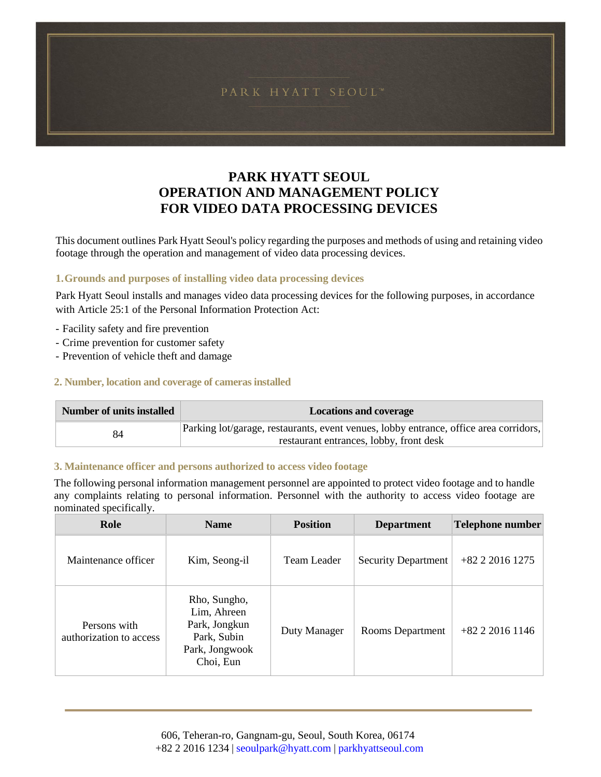## **PARK HYATT SEOUL OPERATION AND MANAGEMENT POLICY FOR VIDEO DATA PROCESSING DEVICES**

This document outlines Park Hyatt Seoul's policy regarding the purposes and methods of using and retaining video footage through the operation and management of video data processing devices.

### **1.Grounds and purposes of installing video data processing devices**

Park Hyatt Seoul installs and manages video data processing devices for the following purposes, in accordance with Article 25:1 of the Personal Information Protection Act:

- Facility safety and fire prevention
- Crime prevention for customer safety
- Prevention of vehicle theft and damage

### **2. Number, location and coverage of cameras installed**

| <b>Number of units installed</b> | <b>Locations and coverage</b>                                                         |  |
|----------------------------------|---------------------------------------------------------------------------------------|--|
| 84                               | Parking lot/garage, restaurants, event venues, lobby entrance, office area corridors, |  |
|                                  | restaurant entrances, lobby, front desk                                               |  |

### **3. Maintenance officer and persons authorized to access video footage**

The following personal information management personnel are appointed to protect video footage and to handle any complaints relating to personal information. Personnel with the authority to access video footage are nominated specifically.

| Role                                    | <b>Name</b>                                                                                | <b>Position</b> | <b>Department</b>          | <b>Telephone number</b> |
|-----------------------------------------|--------------------------------------------------------------------------------------------|-----------------|----------------------------|-------------------------|
| Maintenance officer                     | Kim, Seong-il                                                                              | Team Leader     | <b>Security Department</b> | $+82$ 2 2016 1275       |
| Persons with<br>authorization to access | Rho, Sungho,<br>Lim, Ahreen<br>Park, Jongkun<br>Park, Subin<br>Park, Jongwook<br>Choi, Eun | Duty Manager    | <b>Rooms Department</b>    | $+82$ 2 2016 1146       |